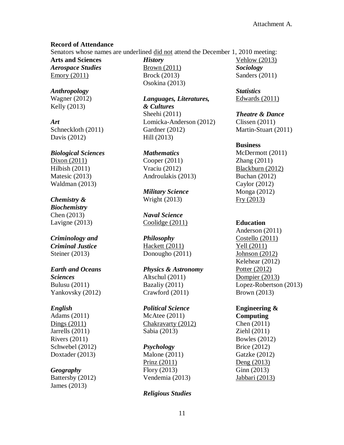### **Record of Attendance**

Senators whose names are underlined did not attend the December 1, 2010 meeting:

**Arts and Sciences** *Aerospace Studies* Emory (2011)

*Anthropology* Wagner (2012) Kelly (2013)

*Art* Schneckloth (2011) Davis (2012)

### *Biological Sciences* Dixon (2011)

Hilbish (2011) Matesic (2013) Waldman (2013)

# *Chemistry &*

*Biochemistry* Chen (2013) Lavigne (2013)

# *Criminology and*

*Criminal Justice* Steiner (2013)

# *Earth and Oceans*

*Sciences* Bulusu (2011) Yankovsky (2012)

# *English*

Adams (2011) Dings (2011) Jarrells (2011) Rivers (2011) Schwebel (2012) Doxtader (2013)

# *Geography*

Battersby (2012) James (2013)

*History* Brown (2011) Brock (2013) Osokina (2013)

*Languages, Literatures, & Cultures* Sheehi (2011) Lomicka-Anderson (2012) Gardner (2012) Hill (2013)

*Mathematics* Cooper (2011) Vraciu (2012) Androulakis (2013)

*Military Science* Wright (2013)

*Naval Science* Coolidge (2011)

*Philosophy* Hackett (2011) Donougho (2011)

### *Physics & Astronomy* Altschul (2011) Bazaliy (2011) Crawford (2011)

*Political Science* McAtee (2011) Chakravarty (2012) Sabia (2013)

# *Psychology*

Malone (2011) Prinz (2011) Flory (2013) Vendemia (2013)

# *Religious Studies*

Vehlow (2013) *Sociology* Sanders (2011)

*Statistics* Edwards (2011)

### *Theatre & Dance*

Clissen (2011) Martin-Stuart (2011)

### **Business**

McDermott (2011) Zhang (2011) Blackburn (2012) Buchan (2012) Caylor (2012) Monga (2012) Fry (2013)

# **Education**

Anderson (2011) Costello (2011) Yell (2011) Johnson (2012) Kelehear (2012) Potter (2012) Dompier (2013) Lopez-Robertson (2013) Brown (2013)

# **Engineering &**

**Computing** Chen (2011) Ziehl (2011) Bowles (2012) Brice (2012) Gatzke (2012) Deng (2013) Ginn (2013) Jabbari (2013)